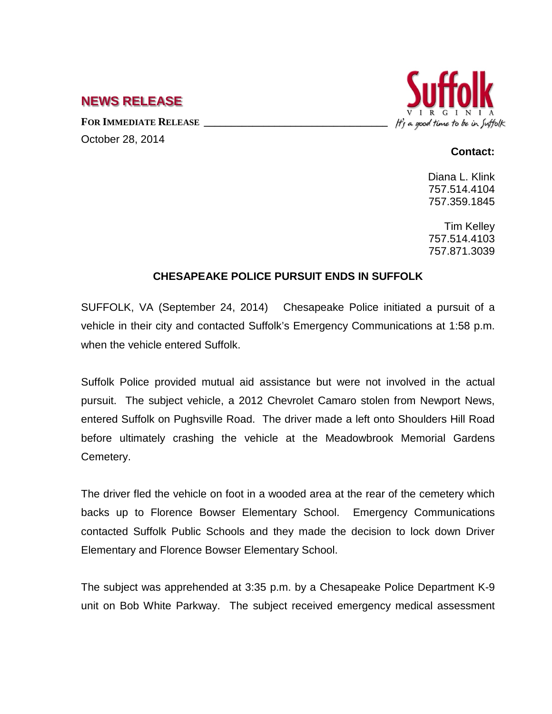## **NEWS RELEASE**

FOR **IMMEDIATE RELEASE** October 28, 2014



## **Contact:**

Diana L. Klink 757.514.4104 757.359.1845

Tim Kelley 757.514.4103 757.871.3039

## **CHESAPEAKE POLICE PURSUIT ENDS IN SUFFOLK**

SUFFOLK, VA (September 24, 2014) Chesapeake Police initiated a pursuit of a vehicle in their city and contacted Suffolk's Emergency Communications at 1:58 p.m. when the vehicle entered Suffolk.

Suffolk Police provided mutual aid assistance but were not involved in the actual pursuit. The subject vehicle, a 2012 Chevrolet Camaro stolen from Newport News, entered Suffolk on Pughsville Road. The driver made a left onto Shoulders Hill Road before ultimately crashing the vehicle at the Meadowbrook Memorial Gardens Cemetery.

The driver fled the vehicle on foot in a wooded area at the rear of the cemetery which backs up to Florence Bowser Elementary School. Emergency Communications contacted Suffolk Public Schools and they made the decision to lock down Driver Elementary and Florence Bowser Elementary School.

The subject was apprehended at 3:35 p.m. by a Chesapeake Police Department K-9 unit on Bob White Parkway. The subject received emergency medical assessment